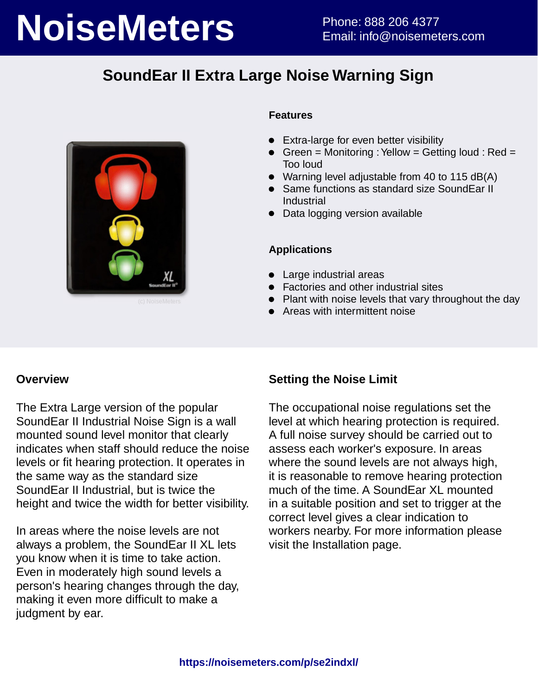# **NoiseMeters** Phone: 888 206 4377

## **SoundEar II Extra Large Noise Warning Sign**



#### **Features**

- **Extra-large for even better visibility**
- Green = Monitoring : Yellow = Getting loud : Red = Too loud
- Warning level adjustable from 40 to 115 dB(A)
- Same functions as standard size SoundEar II Industrial
- Data logging version available

#### **Applications**

- Large industrial areas
- **•** Factories and other industrial sites
- Plant with noise levels that vary throughout the day
- Areas with intermittent noise

#### **Overview**

The Extra Large version of the popular SoundEar II Industrial Noise Sign is a wall mounted sound level monitor that clearly indicates when staff should reduce the noise levels or fit hearing protection. It operates in the same way as the standard size SoundEar II Industrial, but is twice the height and twice the width for better visibility.

In areas where the noise levels are not always a problem, the SoundEar II XL lets you know when it is time to take action. Even in moderately high sound levels a person's hearing changes through the day, making it even more difficult to make a judgment by ear.

#### **Setting the Noise Limit**

The occupational noise regulations set the level at which hearing protection is required. A full noise survey should be carried out to assess each worker's exposure. In areas where the sound levels are not always high, it is reasonable to remove hearing protection much of the time. A SoundEar XL mounted in a suitable position and set to trigger at the correct level gives a clear indication to workers nearby. For more information please visit the Installation page.